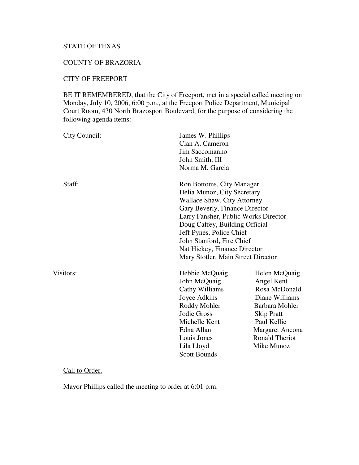# STATE OF TEXAS

### COUNTY OF BRAZORIA

# CITY OF FREEPORT

BE IT REMEMBERED, that the City of Freeport, met in a special called meeting on Monday, July 10, 2006, 6:00 p.m., at the Freeport Police Department, Municipal Court Room, 430 North Brazosport Boulevard, for the purpose of considering the following agenda items:

| City Council:      | James W. Phillips<br>Clan A. Cameron<br>Jim Saccomanno<br>John Smith, III<br>Norma M. Garcia                                                                                                                                                                                                                                       |                                                                                                                                                                                       |
|--------------------|------------------------------------------------------------------------------------------------------------------------------------------------------------------------------------------------------------------------------------------------------------------------------------------------------------------------------------|---------------------------------------------------------------------------------------------------------------------------------------------------------------------------------------|
| Staff:             | Ron Bottoms, City Manager<br>Delia Munoz, City Secretary<br>Wallace Shaw, City Attorney<br>Gary Beverly, Finance Director<br>Larry Fansher, Public Works Director<br>Doug Caffey, Building Official<br>Jeff Pynes, Police Chief<br>John Stanford, Fire Chief<br>Nat Hickey, Finance Director<br>Mary Stotler, Main Street Director |                                                                                                                                                                                       |
| Visitors:          | Debbie McQuaig<br>John McQuaig<br>Cathy Williams<br>Joyce Adkins<br>Roddy Mohler<br>Jodie Gross<br>Michelle Kent<br>Edna Allan<br>Louis Jones<br>Lila Lloyd<br><b>Scott Bounds</b>                                                                                                                                                 | Helen McQuaig<br>Angel Kent<br>Rosa McDonald<br>Diane Williams<br>Barbara Mohler<br><b>Skip Pratt</b><br>Paul Kellie<br><b>Margaret Ancona</b><br><b>Ronald Theriot</b><br>Mike Munoz |
| $\sim$ 11 $\sim$ 1 |                                                                                                                                                                                                                                                                                                                                    |                                                                                                                                                                                       |

#### Call to Order.

Mayor Phillips called the meeting to order at 6:01 p.m.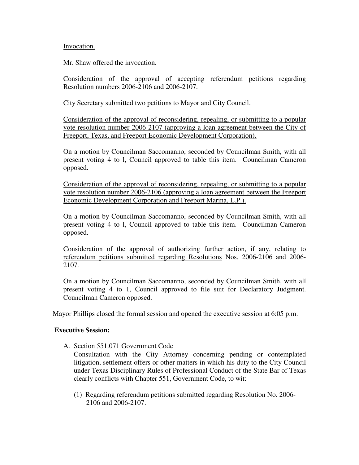#### Invocation.

Mr. Shaw offered the invocation.

Consideration of the approval of accepting referendum petitions regarding Resolution numbers 2006-2106 and 2006-2107.

City Secretary submitted two petitions to Mayor and City Council.

Consideration of the approval of reconsidering, repealing, or submitting to a popular vote resolution number 2006-2107 (approving a loan agreement between the City of Freeport, Texas, and Freeport Economic Development Corporation).

On a motion by Councilman Saccomanno, seconded by Councilman Smith, with all present voting 4 to l, Council approved to table this item. Councilman Cameron opposed.

Consideration of the approval of reconsidering, repealing, or submitting to a popular vote resolution number 2006-2106 (approving a loan agreement between the Freeport Economic Development Corporation and Freeport Marina, L.P.).

On a motion by Councilman Saccomanno, seconded by Councilman Smith, with all present voting 4 to l, Council approved to table this item. Councilman Cameron opposed.

Consideration of the approval of authorizing further action, if any, relating to referendum petitions submitted regarding Resolutions Nos. 2006-2106 and 2006- 2107.

On a motion by Councilman Saccomanno, seconded by Councilman Smith, with all present voting 4 to 1, Council approved to file suit for Declaratory Judgment. Councilman Cameron opposed.

Mayor Phillips closed the formal session and opened the executive session at 6:05 p.m.

### **Executive Session:**

A. Section 551.071 Government Code

Consultation with the City Attorney concerning pending or contemplated litigation, settlement offers or other matters in which his duty to the City Council under Texas Disciplinary Rules of Professional Conduct of the State Bar of Texas clearly conflicts with Chapter 551, Government Code, to wit:

(1) Regarding referendum petitions submitted regarding Resolution No. 2006- 2106 and 2006-2107.